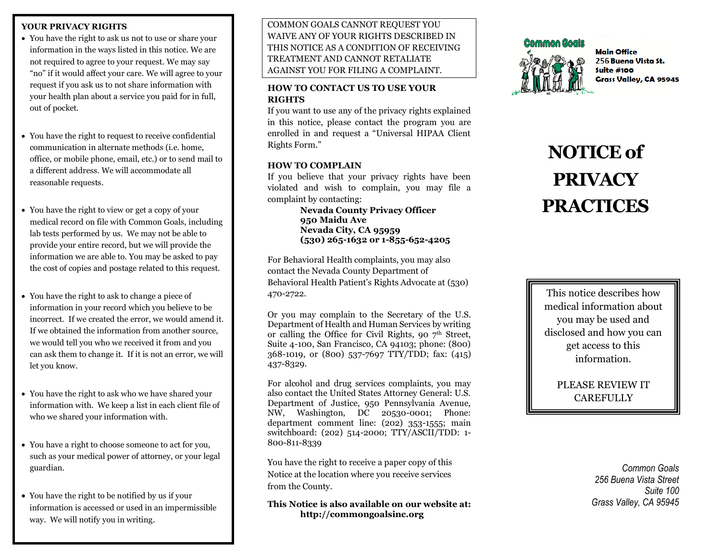## **YOUR PRIVACY RIGHTS**

- You have the right to ask us not to use or share your information in the ways listed in this notice. We are not required to agree to your request. We may say "no" if it would affect your care. We will agree to your request if you ask us to not share information with your health plan about a service you paid for in full, out of pocket.
- You have the right to request to receive confidential communication in alternate methods (i.e. home, office, or mobile phone, email, etc.) or to send mail to a different address. We will accommodate all reasonable requests.
- You have the right to view or get a copy of your medical record on file with Common Goals, including lab tests performed by us. We may not be able to provide your entire record, but we will provide the information we are able to. You may be asked to pay the cost of copies and postage related to this request.
- You have the right to ask to change a piece of information in your record which you believe to be incorrect. If we created the error, we would amend it. If we obtained the information from another source, we would tell you who we received it from and you can ask them to change it. If it is not an error, we will let you know.
- You have the right to ask who we have shared your information with. We keep a list in each client file of who we shared your information with.
- You have a right to choose someone to act for you, such as your medical power of attorney, or your legal guardian.
- You have the right to be notified by us if your information is accessed or used in an impermissible way. We will notify you in writing.

COMMON GOALS CANNOT REQUEST YOU WAIVE ANY OF YOUR RIGHTS DESCRIBED IN THIS NOTICE AS A CONDITION OF RECEIVING TREATMENT AND CANNOT RETALIATE AGAINST YOU FOR FILING A COMPLAINT.

# **HOW TO CONTACT US TO USE YOUR RIGHTS**

If you want to use any of the privacy rights explained in this notice, please contact the program you are enrolled in and request a "Universal HIPAA Client Rights Form."

# **HOW TO COMPLAIN**

If you believe that your privacy rights have been violated and wish to complain, you may file a complaint by contacting:

> **Nevada County Privacy Officer 950 Maidu Ave Nevada City, CA 95959 (530) 265-1632 or 1-855-652-4205**

For Behavioral Health complaints, you may also contact the Nevada County Department of Behavioral Health Patient's Rights Advocate at (530) 470-2722.

Or you may complain to the Secretary of the U.S. Department of Health and Human Services by writing or calling the Office for Civil Rights, 90  $7<sup>th</sup>$  Street, Suite 4-100, San Francisco, CA 94103; phone: (800) 368-1019, or (800) 537-7697 TTY/TDD; fax: (415) 437-8329.

For alcohol and drug services complaints, you may also contact the United States Attorney General: U.S. Department of Justice, 950 Pennsylvania Avenue, NW, Washington, DC 20530-0001; Phone: department comment line: (202) 353-1555; main switchboard: (202) 514-2000; TTY/ASCII/TDD: 1- 800-811-8339

You have the right to receive a paper copy of this Notice at the location where you receive services from the County.

**This Notice is also available on our website at: http://commongoalsinc.org**



**Main Office** 256 Buena Vista St. Suite  $#100$ Grass Valley, CA 95945

# **NOTICE of PRIVACY PRACTICES**

This notice describes how medical information about you may be used and disclosed and how you can get access to this information.

> PLEASE REVIEW IT **CAREFULLY**

> > *Common Goals 256 Buena Vista Street Suite 100 Grass Valley, CA 95945*